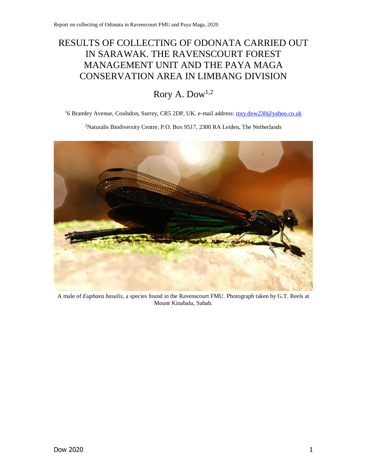# RESULTS OF COLLECTING OF ODONATA CARRIED OUT IN SARAWAK. THE RAVENSCOURT FOREST MANAGEMENT UNIT AND THE PAYA MAGA CONSERVATION AREA IN LIMBANG DIVISION

# Rory A. Dow1,2

<sup>1</sup>6 Bramley Avenue, Coulsdon, Surrey, CR5 2DP, UK. e-mail address: [rory.dow230@yahoo.co.uk](mailto:rory.dow230@yahoo.co.uk)

<sup>2</sup>Naturalis Biodiversity Centre, P.O. Box 9517, 2300 RA Leiden, The Netherlands



A male of *Euphaea basalis*, a species found in the Ravenscourt FMU. Photograph taken by G.T. Reels at Mount Kinabalu, Sabah.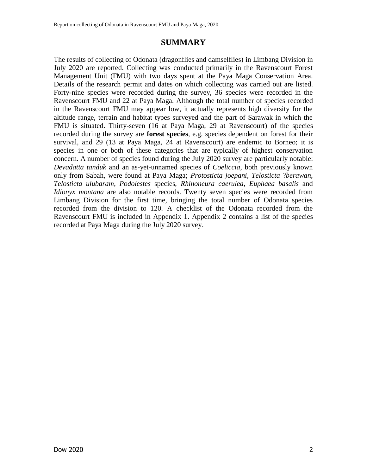# **SUMMARY**

The results of collecting of Odonata (dragonflies and damselflies) in Limbang Division in July 2020 are reported. Collecting was conducted primarily in the Ravenscourt Forest Management Unit (FMU) with two days spent at the Paya Maga Conservation Area. Details of the research permit and dates on which collecting was carried out are listed. Forty-nine species were recorded during the survey, 36 species were recorded in the Ravenscourt FMU and 22 at Paya Maga. Although the total number of species recorded in the Ravenscourt FMU may appear low, it actually represents high diversity for the altitude range, terrain and habitat types surveyed and the part of Sarawak in which the FMU is situated. Thirty-seven (16 at Paya Maga, 29 at Ravenscourt) of the species recorded during the survey are **forest species**, e.g. species dependent on forest for their survival, and 29 (13 at Paya Maga, 24 at Ravenscourt) are endemic to Borneo; it is species in one or both of these categories that are typically of highest conservation concern. A number of species found during the July 2020 survey are particularly notable: *Devadatta tanduk* and an as-yet-unnamed species of *Coeliccia*, both previously known only from Sabah, were found at Paya Maga; *Protosticta joepani*, *Telosticta* ?*berawan*, *Telosticta ulubaram*, *Podolestes* species, *Rhinoneura caerulea*, *Euphaea basalis* and *Idionyx montana* are also notable records. Twenty seven species were recorded from Limbang Division for the first time, bringing the total number of Odonata species recorded from the division to 120. A checklist of the Odonata recorded from the Ravenscourt FMU is included in Appendix 1. Appendix 2 contains a list of the species recorded at Paya Maga during the July 2020 survey.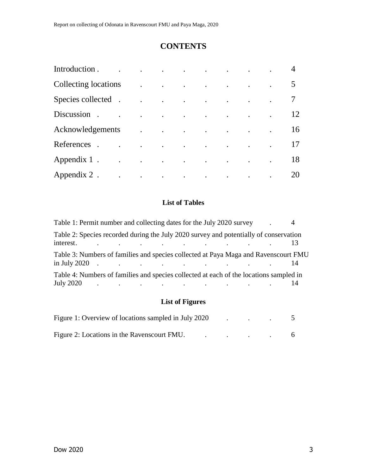# **CONTENTS**

| Introduction.        |                      | the contract of the contract of the contract of the contract of                                                                                                                                                                           |                                                                                                                                                                                                                                           |  |  |    |
|----------------------|----------------------|-------------------------------------------------------------------------------------------------------------------------------------------------------------------------------------------------------------------------------------------|-------------------------------------------------------------------------------------------------------------------------------------------------------------------------------------------------------------------------------------------|--|--|----|
| Collecting locations |                      | $\ddot{\phantom{a}}$                                                                                                                                                                                                                      | $\mathcal{L}^{\mathcal{A}}$ . The contribution of the contribution of the contribution of the contribution of the contribution of the contribution of the contribution of the contribution of the contribution of the contribution of the |  |  |    |
| Species collected .  |                      | $\ddot{\phantom{a}}$                                                                                                                                                                                                                      | $\mathcal{L}^{\mathcal{A}}$ . The contract of the contract of the contract of the contract of the contract of the contract of the contract of the contract of the contract of the contract of the contract of the contract of the contrac |  |  |    |
| Discussion.          | $\ddot{\phantom{a}}$ | $\bullet$                                                                                                                                                                                                                                 | the contract of the contract of the contract of the contract of the contract of                                                                                                                                                           |  |  | 12 |
| Acknowledgements     |                      | $\ddot{\phantom{a}}$                                                                                                                                                                                                                      | and the contract of the contract of the contract of                                                                                                                                                                                       |  |  | 16 |
| References           |                      | $\mathcal{L}^{\mathcal{A}}$ . The contract of the contract of the contract of the contract of the contract of the contract of the contract of the contract of the contract of the contract of the contract of the contract of the contrac |                                                                                                                                                                                                                                           |  |  |    |
| Appendix 1.          | $\bullet$            | $\sim$ $\sim$                                                                                                                                                                                                                             | $\mathcal{L}^{\mathcal{A}}$ . The contract of the contract of the contract of the contract of the contract of the contract of the contract of the contract of the contract of the contract of the contract of the contract of the contrac |  |  | 18 |
| Appendix 2.          | $\bullet$            | $\mathcal{L}^{\mathcal{A}}$ . The contribution of the contribution of the contribution of the contribution of the contribution of the contribution of the contribution of the contribution of the contribution of the contribution of the |                                                                                                                                                                                                                                           |  |  | 20 |

# **List of Tables**

| Table 1: Permit number and collecting dates for the July 2020 survey                                                                                                                                                                                                                                                           |                                                                                                                 |  |  |  |  |           |
|--------------------------------------------------------------------------------------------------------------------------------------------------------------------------------------------------------------------------------------------------------------------------------------------------------------------------------|-----------------------------------------------------------------------------------------------------------------|--|--|--|--|-----------|
| Table 2: Species recorded during the July 2020 survey and potentially of conservation<br>interest.                                                                                                                                                                                                                             | the contract of the contract of the contract of the contract of the contract of the contract of the contract of |  |  |  |  |           |
| Table 3: Numbers of families and species collected at Paya Maga and Ravenscourt FMU<br>$\int \ln \text{July } 2020$ . $\ldots$ $\ldots$ $\ldots$ $\ldots$ $\ldots$                                                                                                                                                             |                                                                                                                 |  |  |  |  | $\vert 4$ |
| Table 4: Numbers of families and species collected at each of the locations sampled in<br>July 2020 $\qquad \qquad$ . The contract of the contract of the contract of the contract of the contract of the contract of the contract of the contract of the contract of the contract of the contract of the contract of the cont |                                                                                                                 |  |  |  |  | 14        |

# **List of Figures**

| Figure 1: Overview of locations sampled in July 2020 |  |  |  |
|------------------------------------------------------|--|--|--|
| Figure 2: Locations in the Ravenscourt FMU.          |  |  |  |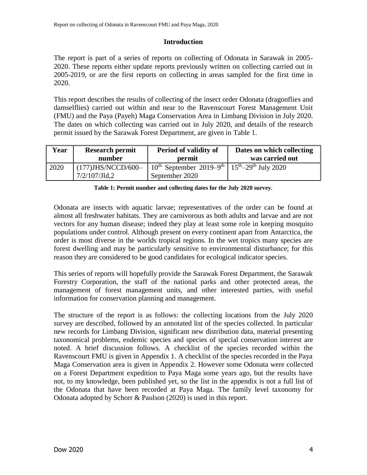# **Introduction**

The report is part of a series of reports on collecting of Odonata in Sarawak in 2005- 2020. These reports either update reports previously written on collecting carried out in 2005-2019, or are the first reports on collecting in areas sampled for the first time in 2020.

This report describes the results of collecting of the insect order Odonata (dragonflies and damselflies) carried out within and near to the Ravenscourt Forest Management Unit (FMU) and the Paya (Payeh) Maga Conservation Area in Limbang Division in July 2020. The dates on which collecting was carried out in July 2020, and details of the research permit issued by the Sarawak Forest Department, are given in [Table 1.](#page-3-1)

| Year | <b>Research permit</b><br>number | Period of validity of<br>permit                                                         | Dates on which collecting<br>was carried out |  |
|------|----------------------------------|-----------------------------------------------------------------------------------------|----------------------------------------------|--|
|      |                                  |                                                                                         |                                              |  |
| 2020 | $\mid$ (177)JHS/NCCD/600-        | $10^{th}$ September 2019–9 <sup>th</sup>   15 <sup>th</sup> –29 <sup>th</sup> July 2020 |                                              |  |
|      | 7/2/107/Jld,2                    | September 2020                                                                          |                                              |  |

|  |  |  |  | Table 1: Permit number and collecting dates for the July 2020 survey. |  |
|--|--|--|--|-----------------------------------------------------------------------|--|
|--|--|--|--|-----------------------------------------------------------------------|--|

<span id="page-3-1"></span>Odonata are insects with aquatic larvae; representatives of the order can be found at almost all freshwater habitats. They are carnivorous as both adults and larvae and are not vectors for any human disease; indeed they play at least some role in keeping mosquito populations under control. Although present on every continent apart from Antarctica, the order is most diverse in the worlds tropical regions. In the wet tropics many species are forest dwelling and may be particularly sensitive to environmental disturbance; for this reason they are considered to be good candidates for ecological indicator species.

This series of reports will hopefully provide the Sarawak Forest Department, the Sarawak Forestry Corporation, the staff of the national parks and other protected areas, the management of forest management units, and other interested parties, with useful information for conservation planning and management.

<span id="page-3-0"></span>The structure of the report is as follows: the collecting locations from the July 2020 survey are described, followed by an annotated list of the species collected. In particular new records for Limbang Division, significant new distribution data, material presenting taxonomical problems, endemic species and species of special conservation interest are noted. A brief discussion follows. A checklist of the species recorded within the Ravenscourt FMU is given in Appendix 1. A checklist of the species recorded in the Paya Maga Conservation area is given in Appendix 2. However some Odonata were collected on a Forest Department expedition to Paya Maga some years ago, but the results have not, to my knowledge, been published yet, so the list in the appendix is not a full list of the Odonata that have been recorded at Paya Maga. The family level taxonomy for Odonata adopted by Schorr & Paulson (2020) is used in this report.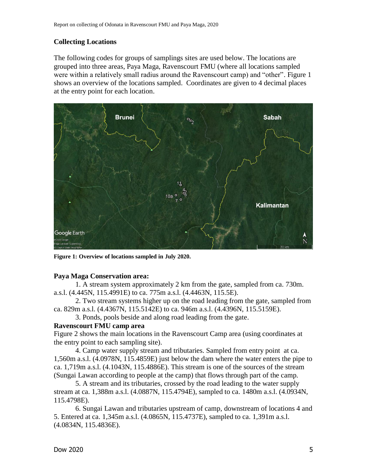# **Collecting Locations**

The following codes for groups of samplings sites are used below. The locations are grouped into three areas, Paya Maga, Ravenscourt FMU (where all locations sampled were within a relatively small radius around the Ravenscourt camp) and "other". Figure 1 shows an overview of the locations sampled. Coordinates are given to 4 decimal places at the entry point for each location.



**Figure 1: Overview of locations sampled in July 2020.**

# **Paya Maga Conservation area:**

1. A stream system approximately 2 km from the gate, sampled from ca. 730m. a.s.l. (4.445N, 115.4991E) to ca. 775m a.s.l. (4.4463N, 115.5E).

2. Two stream systems higher up on the road leading from the gate, sampled from ca. 829m a.s.l. (4.4367N, 115.5142E) to ca. 946m a.s.l. (4.4396N, 115.5159E).

3. Ponds, pools beside and along road leading from the gate.

# **Ravenscourt FMU camp area**

Figure 2 shows the main locations in the Ravenscourt Camp area (using coordinates at the entry point to each sampling site).

4. Camp water supply stream and tributaries. Sampled from entry point at ca. 1,560m a.s.l. (4.0978N, 115.4859E) just below the dam where the water enters the pipe to ca. 1,719m a.s.l. (4.1043N, 115.4886E). This stream is one of the sources of the stream (Sungai Lawan according to people at the camp) that flows through part of the camp.

5. A stream and its tributaries, crossed by the road leading to the water supply stream at ca. 1,388m a.s.l. (4.0887N, 115.4794E), sampled to ca. 1480m a.s.l. (4.0934N, 115.4798E).

6. Sungai Lawan and tributaries upstream of camp, downstream of locations 4 and 5. Entered at ca. 1,345m a.s.l. (4.0865N, 115.4737E), sampled to ca. 1,391m a.s.l. (4.0834N, 115.4836E).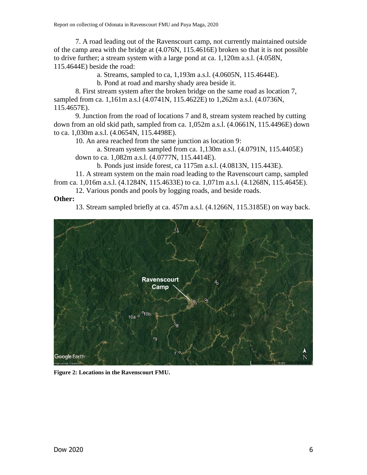7. A road leading out of the Ravenscourt camp, not currently maintained outside of the camp area with the bridge at (4.076N, 115.4616E) broken so that it is not possible to drive further; a stream system with a large pond at ca. 1,120m a.s.l. (4.058N, 115.4644E) beside the road:

a. Streams, sampled to ca, 1,193m a.s.l. (4.0605N, 115.4644E).

b. Pond at road and marshy shady area beside it.

8. First stream system after the broken bridge on the same road as location 7, sampled from ca. 1,161m a.s.l (4.0741N, 115.4622E) to 1,262m a.s.l. (4.0736N, 115.4657E).

9. Junction from the road of locations 7 and 8, stream system reached by cutting down from an old skid path, sampled from ca. 1,052m a.s.l. (4.0661N, 115.4496E) down to ca. 1,030m a.s.l. (4.0654N, 115.4498E).

10. An area reached from the same junction as location 9:

a. Stream system sampled from ca. 1,130m a.s.l. (4.0791N, 115.4405E) down to ca. 1,082m a.s.l. (4.0777N, 115.4414E).

b. Ponds just inside forest, ca 1175m a.s.l. (4.0813N, 115.443E).

11. A stream system on the main road leading to the Ravenscourt camp, sampled from ca. 1,016m a.s.l. (4.1284N, 115.4633E) to ca. 1,071m a.s.l. (4.1268N, 115.4645E).

12. Various ponds and pools by logging roads, and beside roads.

# **Other:**

13. Stream sampled briefly at ca. 457m a.s.l. (4.1266N, 115.3185E) on way back.



**Figure 2: Locations in the Ravenscourt FMU.**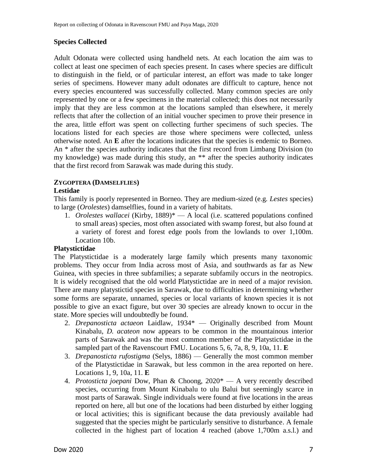# **Species Collected**

Adult Odonata were collected using handheld nets. At each location the aim was to collect at least one specimen of each species present. In cases where species are difficult to distinguish in the field, or of particular interest, an effort was made to take longer series of specimens. However many adult odonates are difficult to capture, hence not every species encountered was successfully collected. Many common species are only represented by one or a few specimens in the material collected; this does not necessarily imply that they are less common at the locations sampled than elsewhere, it merely reflects that after the collection of an initial voucher specimen to prove their presence in the area, little effort was spent on collecting further specimens of such species. The locations listed for each species are those where specimens were collected, unless otherwise noted. An **E** after the locations indicates that the species is endemic to Borneo. An \* after the species authority indicates that the first record from Limbang Division (to my knowledge) was made during this study, an \*\* after the species authority indicates that the first record from Sarawak was made during this study.

# **ZYGOPTERA (DAMSELFLIES)**

# **Lestidae**

This family is poorly represented in Borneo. They are medium-sized (e.g. *Lestes* species) to large (*Orolestes*) damselflies, found in a variety of habitats.

1. *Orolestes wallacei* (Kirby, 1889)\* — A local (i.e. scattered populations confined to small areas) species, most often associated with swamp forest, but also found at a variety of forest and forest edge pools from the lowlands to over 1,100m. Location 10b.

# **Platystictidae**

The Platystictidae is a moderately large family which presents many taxonomic problems. They occur from India across most of Asia, and southwards as far as New Guinea, with species in three subfamilies; a separate subfamily occurs in the neotropics. It is widely recognised that the old world Platystictidae are in need of a major revision. There are many platystictid species in Sarawak, due to difficulties in determining whether some forms are separate, unnamed, species or local variants of known species it is not possible to give an exact figure, but over 30 species are already known to occur in the state. More species will undoubtedly be found.

- 2. *Drepanosticta actaeon* Laidlaw, 1934\* Originally described from Mount Kinabalu, *D. acateon* now appears to be common in the mountainous interior parts of Sarawak and was the most common member of the Platystictidae in the sampled part of the Ravenscourt FMU. Locations 5, 6, 7a, 8, 9, 10a, 11. **E**
- 3. *Drepanosticta rufostigma* (Selys, 1886) Generally the most common member of the Platystictidae in Sarawak, but less common in the area reported on here. Locations 1, 9, 10a, 11. **E**
- 4. *Protosticta joepani* Dow, Phan & Choong, 2020\* A very recently described species, occurring from Mount Kinabalu to ulu Balui but seemingly scarce in most parts of Sarawak. Single individuals were found at five locations in the areas reported on here, all but one of the locations had been disturbed by either logging or local activities; this is significant because the data previously available had suggested that the species might be particularly sensitive to disturbance. A female collected in the highest part of location 4 reached (above 1,700m a.s.l.) and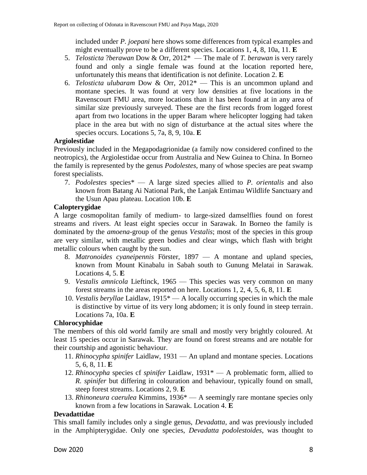included under *P. joepani* here shows some differences from typical examples and might eventually prove to be a different species. Locations 1, 4, 8, 10a, 11. **E**

- 5. *Telosticta* ?*berawan* Dow & Orr, 2012\* The male of *T. berawan* is very rarely found and only a single female was found at the location reported here, unfortunately this means that identification is not definite. Location 2. **E**
- 6. *Telosticta ulubaram* Dow & Orr, 2012\* This is an uncommon upland and montane species. It was found at very low densities at five locations in the Ravenscourt FMU area, more locations than it has been found at in any area of similar size previously surveyed. These are the first records from logged forest apart from two locations in the upper Baram where helicopter logging had taken place in the area but with no sign of disturbance at the actual sites where the species occurs. Locations 5, 7a, 8, 9, 10a. **E**

# **Argiolestidae**

Previously included in the Megapodagrionidae (a family now considered confined to the neotropics), the Argiolestidae occur from Australia and New Guinea to China. In Borneo the family is represented by the genus *Podolestes*, many of whose species are peat swamp forest specialists.

7. *Podolestes* species\* — A large sized species allied to *P. orientalis* and also known from Batang Ai National Park, the Lanjak Entimau Wildlife Sanctuary and the Usun Apau plateau. Location 10b. **E**

# **Calopterygidae**

A large cosmopolitan family of medium- to large-sized damselflies found on forest streams and rivers. At least eight species occur in Sarawak. In Borneo the family is dominated by the *amoena*-group of the genus *Vestalis*; most of the species in this group are very similar, with metallic green bodies and clear wings, which flash with bright metallic colours when caught by the sun.

- 8. *Matronoides cyaneipennis* Förster, 1897 A montane and upland species, known from Mount Kinabalu in Sabah south to Gunung Melatai in Sarawak. Locations 4, 5. **E**
- 9. *Vestalis amnicola* Lieftinck, 1965 This species was very common on many forest streams in the areas reported on here. Locations 1, 2, 4, 5, 6, 8, 11. **E**
- 10. *Vestalis beryllae* Laidlaw, 1915\* A locally occurring species in which the male is distinctive by virtue of its very long abdomen; it is only found in steep terrain. Locations 7a, 10a. **E**

# **Chlorocyphidae**

The members of this old world family are small and mostly very brightly coloured. At least 15 species occur in Sarawak. They are found on forest streams and are notable for their courtship and agonistic behaviour.

- 11. *Rhinocypha spinifer* Laidlaw, 1931 An upland and montane species. Locations 5, 6, 8, 11. **E**
- 12. *Rhinocypha* species cf *spinifer* Laidlaw, 1931\* A problematic form, allied to *R. spinifer* but differing in colouration and behaviour, typically found on small, steep forest streams. Locations 2, 9. **E**
- 13. *Rhinoneura caerulea* Kimmins, 1936\* A seemingly rare montane species only known from a few locations in Sarawak. Location 4. **E**

# **Devadattidae**

This small family includes only a single genus, *Devadatta*, and was previously included in the Amphipterygidae. Only one species, *Devadatta podolestoides*, was thought to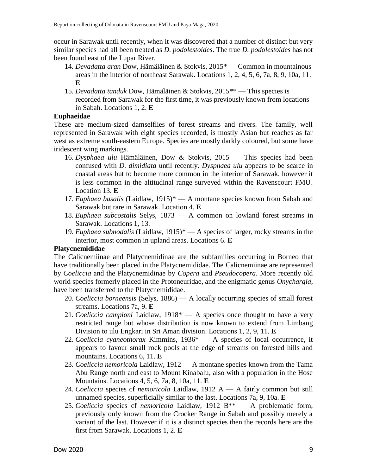occur in Sarawak until recently, when it was discovered that a number of distinct but very similar species had all been treated as *D. podolestoides*. The true *D. podolestoides* has not been found east of the Lupar River.

- 14. *Devadatta aran* Dow, Hämäläinen & Stokvis, 2015\* Common in mountainous areas in the interior of northeast Sarawak. Locations 1, 2, 4, 5, 6, 7a, 8, 9, 10a, 11. **E**
- 15. *Devadatta tanduk* Dow, Hämäläinen & Stokvis, 2015\*\* This species is recorded from Sarawak for the first time, it was previously known from locations in Sabah. Locations 1, 2. **E**

# **Euphaeidae**

These are medium-sized damselflies of forest streams and rivers. The family, well represented in Sarawak with eight species recorded, is mostly Asian but reaches as far west as extreme south-eastern Europe. Species are mostly darkly coloured, but some have iridescent wing markings.

- 16. *Dysphaea ulu* Hämäläinen, Dow & Stokvis, 2015 This species had been confused with *D. dimidiata* until recently. *Dysphaea ulu* appears to be scarce in coastal areas but to become more common in the interior of Sarawak, however it is less common in the altitudinal range surveyed within the Ravenscourt FMU. Location 13. **E**
- 17. *Euphaea basalis* (Laidlaw, 1915)\* A montane species known from Sabah and Sarawak but rare in Sarawak. Location 4. **E**
- 18. *Euphaea subcostalis* Selys, 1873 A common on lowland forest streams in Sarawak. Locations 1, 13.
- 19. *Euphaea subnodalis* (Laidlaw, 1915)\* A species of larger, rocky streams in the interior, most common in upland areas. Locations 6. **E**

# **Platycnemididae**

The Calicnemiinae and Platycnemidinae are the subfamilies occurring in Borneo that have traditionally been placed in the Platycnemididae. The Calicnemiinae are represented by *Coeliccia* and the Platycnemidinae by *Copera* and *Pseudocopera*. More recently old world species formerly placed in the Protoneuridae, and the enigmatic genus *Onychargia*, have been transferred to the Platycnemididae.

- 20. *Coeliccia borneensis* (Selys, 1886) A locally occurring species of small forest streams. Locations 7a, 9. **E**
- 21. *Coeliccia campioni* Laidlaw, 1918\* A species once thought to have a very restricted range but whose distribution is now known to extend from Limbang Division to ulu Engkari in Sri Aman division. Locations 1, 2, 9, 11. **E**
- 22. *Coeliccia cyaneothorax* Kimmins, 1936\* A species of local occurrence, it appears to favour small rock pools at the edge of streams on forested hills and mountains. Locations 6, 11. **E**
- 23. *Coeliccia nemoricola* Laidlaw, 1912 A montane species known from the Tama Abu Range north and east to Mount Kinabalu, also with a population in the Hose Mountains. Locations 4, 5, 6, 7a, 8, 10a, 11. **E**
- 24. *Coeliccia* species cf *nemoricola* Laidlaw, 1912 A A fairly common but still unnamed species, superficially similar to the last. Locations 7a, 9, 10a. **E**
- 25. *Coeliccia* species cf *nemoricola* Laidlaw, 1912 B\*\* A problematic form, previously only known from the Crocker Range in Sabah and possibly merely a variant of the last. However if it is a distinct species then the records here are the first from Sarawak. Locations 1, 2. **E**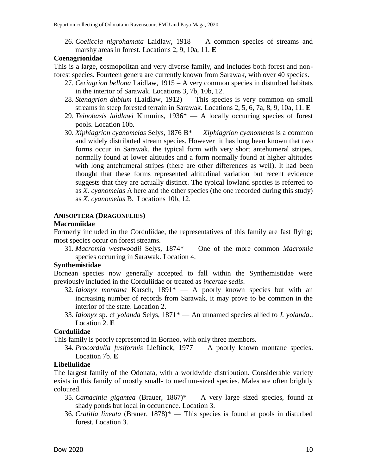26. *Coeliccia nigrohamata* Laidlaw, 1918 — A common species of streams and marshy areas in forest. Locations 2, 9, 10a, 11. **E**

# **Coenagrionidae**

This is a large, cosmopolitan and very diverse family, and includes both forest and nonforest species. Fourteen genera are currently known from Sarawak, with over 40 species.

- 27. *Ceriagrion bellona* Laidlaw, 1915 A very common species in disturbed habitats in the interior of Sarawak. Locations 3, 7b, 10b, 12.
- 28. *Stenagrion dubium* (Laidlaw, 1912) This species is very common on small streams in steep forested terrain in Sarawak. Locations 2, 5, 6, 7a, 8, 9, 10a, 11. **E**
- 29. *Teinobasis laidlawi* Kimmins, 1936\* A locally occurring species of forest pools. Location 10b.
- 30. *Xiphiagrion cyanomelas* Selys, 1876 B\* *Xiphiagrion cyanomelas* is a common and widely distributed stream species. However it has long been known that two forms occur in Sarawak, the typical form with very short antehumeral stripes, normally found at lower altitudes and a form normally found at higher altitudes with long antehumeral stripes (there are other differences as well). It had been thought that these forms represented altitudinal variation but recent evidence suggests that they are actually distinct. The typical lowland species is referred to as *X. cyanomelas* A here and the other species (the one recorded during this study) as *X. cyanomelas* B. Locations 10b, 12.

# **ANISOPTERA (DRAGONFLIES)**

# **Macromiidae**

Formerly included in the Corduliidae, the representatives of this family are fast flying; most species occur on forest streams.

31. *Macromia westwoodii* Selys, 1874\* — One of the more common *Macromia*  species occurring in Sarawak. Location 4.

# **Synthemistidae**

Bornean species now generally accepted to fall within the Synthemistidae were previously included in the Corduliidae or treated as *incertae sedis*.

- 32. *Idionyx montana* Karsch, 1891\* A poorly known species but with an increasing number of records from Sarawak, it may prove to be common in the interior of the state. Location 2.
- 33. *Idionyx* sp. cf *yolanda* Selys, 1871\* An unnamed species allied to *I. yolanda*.. Location 2. **E**

# **Corduliidae**

This family is poorly represented in Borneo, with only three members.

34. *Procordulia fusiformis* Lieftinck, 1977 — A poorly known montane species. Location 7b. **E**

# **Libellulidae**

The largest family of the Odonata, with a worldwide distribution. Considerable variety exists in this family of mostly small- to medium-sized species. Males are often brightly coloured.

- 35. *Camacinia gigantea* (Brauer, 1867)\* A very large sized species, found at shady ponds but local in occurrence. Location 3.
- 36. *Cratilla lineata* (Brauer, 1878)\* This species is found at pools in disturbed forest. Location 3.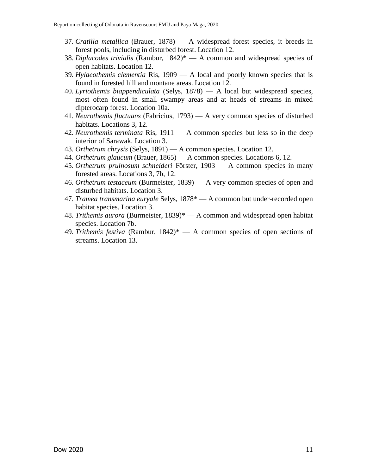- 37. *Cratilla metallica* (Brauer, 1878) A widespread forest species, it breeds in forest pools, including in disturbed forest. Location 12.
- 38. *Diplacodes trivialis* (Rambur, 1842)\* A common and widespread species of open habitats. Location 12.
- 39. *Hylaeothemis clementia* Ris, 1909 A local and poorly known species that is found in forested hill and montane areas. Location 12.
- 40. *Lyriothemis biappendiculata* (Selys, 1878) A local but widespread species, most often found in small swampy areas and at heads of streams in mixed dipterocarp forest. Location 10a.
- 41. *Neurothemis fluctuans* (Fabricius, 1793) A very common species of disturbed habitats. Locations 3, 12.
- 42. *Neurothemis terminata* Ris, 1911 A common species but less so in the deep interior of Sarawak. Location 3.
- 43. *Orthetrum chrysis* (Selys, 1891) A common species. Location 12.
- 44. *Orthetrum glaucum* (Brauer, 1865) A common species. Locations 6, 12.
- 45. *Orthetrum pruinosum schneideri* Förster, 1903 A common species in many forested areas. Locations 3, 7b, 12.
- 46. *Orthetrum testaceum* (Burmeister, 1839) A very common species of open and disturbed habitats. Location 3.
- 47. *Tramea transmarina euryale* Selys, 1878\* A common but under-recorded open habitat species. Location 3.
- 48. *Trithemis aurora* (Burmeister, 1839)\* A common and widespread open habitat species. Location 7b.
- 49. *Trithemis festiva* (Rambur, 1842)\* A common species of open sections of streams. Location 13.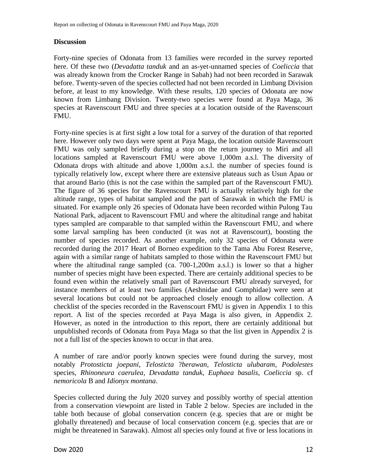# **Discussion**

Forty-nine species of Odonata from 13 families were recorded in the survey reported here. Of these two (*Devadatta tanduk* and an as-yet-unnamed species of *Coeliccia* that was already known from the Crocker Range in Sabah) had not been recorded in Sarawak before. Twenty-seven of the species collected had not been recorded in Limbang Division before, at least to my knowledge. With these results, 120 species of Odonata are now known from Limbang Division. Twenty-two species were found at Paya Maga, 36 species at Ravenscourt FMU and three species at a location outside of the Ravenscourt FMU.

Forty-nine species is at first sight a low total for a survey of the duration of that reported here. However only two days were spent at Paya Maga, the location outside Ravenscourt FMU was only sampled briefly during a stop on the return journey to Miri and all locations sampled at Ravenscourt FMU were above 1,000m a.s.l. The diversity of Odonata drops with altitude and above 1,000m a.s.l. the number of species found is typically relatively low, except where there are extensive plateaus such as Usun Apau or that around Bario (this is not the case within the sampled part of the Ravenscourt FMU). The figure of 36 species for the Ravenscourt FMU is actually relatively high for the altitude range, types of habitat sampled and the part of Sarawak in which the FMU is situated. For example only 26 species of Odonata have been recorded within Pulong Tau National Park, adjacent to Ravenscourt FMU and where the altitudinal range and habitat types sampled are comparable to that sampled within the Ravenscourt FMU, and where some larval sampling has been conducted (it was not at Ravenscourt), boosting the number of species recorded. As another example, only 32 species of Odonata were recorded during the 2017 Heart of Borneo expedition to the Tama Abu Forest Reserve, again with a similar range of habitats sampled to those within the Ravenscourt FMU but where the altitudinal range sampled (ca. 700-1,200m a.s.l.) is lower so that a higher number of species might have been expected. There are certainly additional species to be found even within the relatively small part of Ravenscourt FMU already surveyed, for instance members of at least two families (Aeshnidae and Gomphidae) were seen at several locations but could not be approached closely enough to allow collection. A checklist of the species recorded in the Ravenscourt FMU is given in Appendix 1 to this report. A list of the species recorded at Paya Maga is also given, in Appendix 2. However, as noted in the introduction to this report, there are certainly additional but unpublished records of Odonata from Paya Maga so that the list given in Appendix 2 is not a full list of the species known to occur in that area.

A number of rare and/or poorly known species were found during the survey, most notably *Protosticta joepani*, *Telosticta* ?*berawan*, *Telosticta ulubaram*, *Podolestes*  species, *Rhinoneura caerulea*, *Devadatta tanduk*, *Euphaea basalis*, *Coeliccia* sp. cf *nemoricola* B and *Idionyx montana*.

Species collected during the July 2020 survey and possibly worthy of special attention from a conservation viewpoint are listed in [Table 2](#page-12-0) below. Species are included in the table both because of global conservation concern (e.g. species that are or might be globally threatened) and because of local conservation concern (e.g. species that are or might be threatened in Sarawak). Almost all species only found at five or less locations in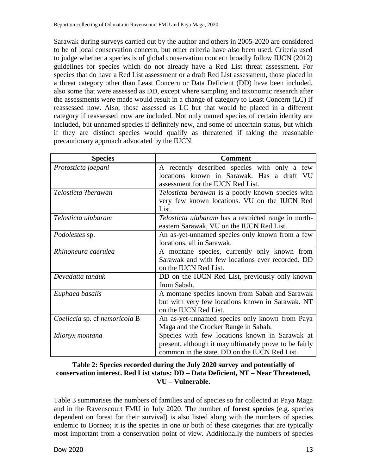Sarawak during surveys carried out by the author and others in 2005-2020 are considered to be of local conservation concern, but other criteria have also been used. Criteria used to judge whether a species is of global conservation concern broadly follow IUCN (2012) guidelines for species which do not already have a Red List threat assessment. For species that do have a Red List assessment or a draft Red List assessment, those placed in a threat category other than Least Concern or Data Deficient (DD) have been included, also some that were assessed as DD, except where sampling and taxonomic research after the assessments were made would result in a change of category to Least Concern (LC) if reassessed now. Also, those assessed as LC but that would be placed in a different category if reassessed now are included. Not only named species of certain identity are included, but unnamed species if definitely new, and some of uncertain status, but which if they are distinct species would qualify as threatened if taking the reasonable precautionary approach advocated by the IUCN.

| <b>Species</b>                | <b>Comment</b>                                           |  |  |  |  |  |  |
|-------------------------------|----------------------------------------------------------|--|--|--|--|--|--|
| Protosticta joepani           | A recently described species with only a few             |  |  |  |  |  |  |
|                               | locations known in Sarawak. Has a draft VU               |  |  |  |  |  |  |
|                               | assessment for the IUCN Red List.                        |  |  |  |  |  |  |
| Telosticta ?berawan           | <i>Telosticta berawan</i> is a poorly known species with |  |  |  |  |  |  |
|                               | very few known locations. VU on the IUCN Red             |  |  |  |  |  |  |
|                               | List.                                                    |  |  |  |  |  |  |
| Telosticta ulubaram           | Telosticta ulubaram has a restricted range in north-     |  |  |  |  |  |  |
|                               | eastern Sarawak, VU on the IUCN Red List.                |  |  |  |  |  |  |
| <i>Podolestes</i> sp.         | An as-yet-unnamed species only known from a few          |  |  |  |  |  |  |
|                               | locations, all in Sarawak.                               |  |  |  |  |  |  |
| Rhinoneura caerulea           | A montane species, currently only known from             |  |  |  |  |  |  |
|                               | Sarawak and with few locations ever recorded. DD         |  |  |  |  |  |  |
|                               | on the IUCN Red List.                                    |  |  |  |  |  |  |
| Devadatta tanduk              | DD on the IUCN Red List, previously only known           |  |  |  |  |  |  |
|                               | from Sabah.                                              |  |  |  |  |  |  |
| Euphaea basalis               | A montane species known from Sabah and Sarawak           |  |  |  |  |  |  |
|                               | but with very few locations known in Sarawak. NT         |  |  |  |  |  |  |
|                               | on the IUCN Red List.                                    |  |  |  |  |  |  |
| Coeliccia sp. cf nemoricola B | An as-yet-unnamed species only known from Paya           |  |  |  |  |  |  |
|                               | Maga and the Crocker Range in Sabah.                     |  |  |  |  |  |  |
| Idionyx montana               | Species with few locations known in Sarawak at           |  |  |  |  |  |  |
|                               | present, although it may ultimately prove to be fairly   |  |  |  |  |  |  |
|                               | common in the state. DD on the IUCN Red List.            |  |  |  |  |  |  |

# <span id="page-12-0"></span>**Table 2: Species recorded during the July 2020 survey and potentially of conservation interest. Red List status: DD – Data Deficient, NT – Near Threatened, VU – Vulnerable.**

[Table 3](#page-13-0) summarises the numbers of families and of species so far collected at Paya Maga and in the Ravenscourt FMU in July 2020. The number of **forest species** (e.g. species dependent on forest for their survival) is also listed along with the numbers of species endemic to Borneo; it is the species in one or both of these categories that are typically most important from a conservation point of view. Additionally the numbers of species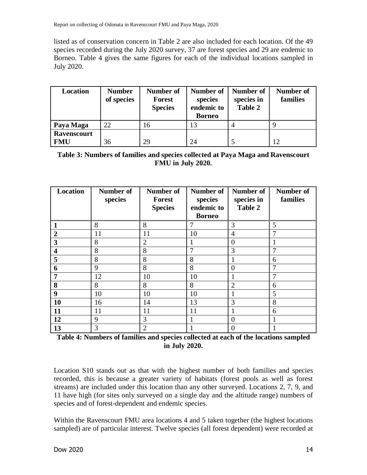listed as of conservation concern in Table 2 are also included for each location. Of the 49 species recorded during the July 2020 survey, 37 are forest species and 29 are endemic to Borneo. [Table 4](#page-13-1) gives the same figures for each of the individual locations sampled in July 2020.

| Location                         | <b>Number</b><br>of species | <b>Number of</b><br><b>Forest</b><br><b>Species</b> | Number of<br>species<br>endemic to<br><b>Borneo</b> | Number of<br>species in<br><b>Table 2</b> | <b>Number of</b><br>families |
|----------------------------------|-----------------------------|-----------------------------------------------------|-----------------------------------------------------|-------------------------------------------|------------------------------|
| Paya Maga                        | 22                          | 16                                                  | 13                                                  |                                           |                              |
| <b>Ravenscourt</b><br><b>FMU</b> | 36                          | 29                                                  | 24                                                  |                                           | 12                           |

<span id="page-13-0"></span>**Table 3: Numbers of families and species collected at Paya Maga and Ravenscourt FMU in July 2020.**

| Location                | <b>Number of</b><br>species | Number of<br><b>Forest</b><br><b>Species</b> | <b>Number of</b><br>species<br>endemic to | <b>Number of</b><br>species in<br><b>Table 2</b> | <b>Number of</b><br>families |
|-------------------------|-----------------------------|----------------------------------------------|-------------------------------------------|--------------------------------------------------|------------------------------|
|                         |                             |                                              | <b>Borneo</b>                             |                                                  |                              |
|                         | 8                           | 8                                            | 7                                         | 3                                                | 5                            |
| $\overline{2}$          | 11                          | 11                                           | 10                                        | $\overline{4}$                                   |                              |
| 3                       | 8                           | $\overline{2}$                               |                                           | $\theta$                                         |                              |
| $\overline{\mathbf{4}}$ | 8                           | 8                                            | 7                                         | 3                                                |                              |
| 5                       | 8                           | 8                                            | 8                                         | 1                                                | 6                            |
| 6                       | 9                           | 8                                            | 8                                         | $\overline{0}$                                   |                              |
| 7                       | 12                          | 10                                           | 10                                        |                                                  |                              |
| 8                       | 8                           | 8                                            | 8                                         | $\overline{2}$                                   | 6                            |
| 9                       | 10                          | 10                                           | 10                                        |                                                  | 5                            |
| 10                      | 16                          | 14                                           | 13                                        | 3                                                | 8                            |
| 11                      | 11                          | 11                                           | 11                                        |                                                  | 6                            |
| 12                      | 9                           | 3                                            |                                           | $\overline{0}$                                   |                              |
| 13                      | 3                           | $\overline{2}$                               |                                           | $\Omega$                                         |                              |

<span id="page-13-1"></span>**Table 4: Numbers of families and species collected at each of the locations sampled in July 2020.**

Location S10 stands out as that with the highest number of both families and species recorded, this is because a greater variety of habitats (forest pools as well as forest streams) are included under this location than any other surveyed. Locations 2, 7, 9, and 11 have high (for sites only surveyed on a single day and the altitude range) numbers of species and of forest-dependent and endemic species.

Within the Ravenscourt FMU area locations 4 and 5 taken together (the highest locations sampled) are of particular interest. Twelve species (all forest dependent) were recorded at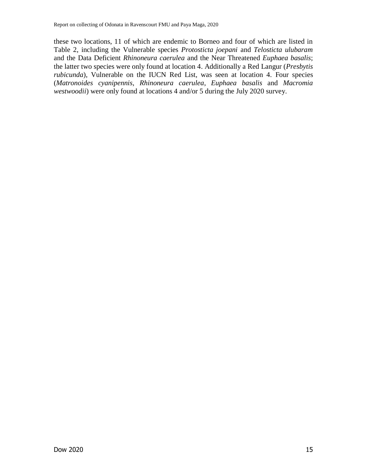these two locations, 11 of which are endemic to Borneo and four of which are listed in [Table 2,](#page-12-0) including the Vulnerable species *Protosticta joepani* and *Telosticta ulubaram* and the Data Deficient *Rhinoneura caerulea* and the Near Threatened *Euphaea basalis*; the latter two species were only found at location 4. Additionally a Red Langur (*Presbytis rubicunda*), Vulnerable on the IUCN Red List, was seen at location 4. Four species (*Matronoides cyanipennis*, *Rhinoneura caerulea*, *Euphaea basalis* and *Macromia westwoodii*) were only found at locations 4 and/or 5 during the July 2020 survey.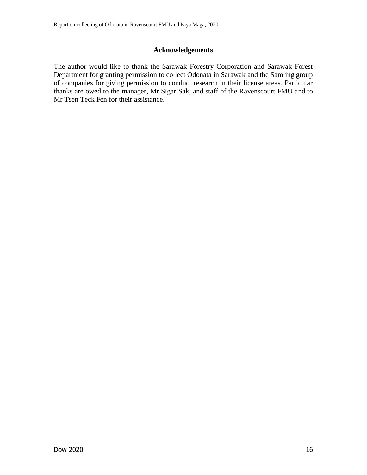# **Acknowledgements**

The author would like to thank the Sarawak Forestry Corporation and Sarawak Forest Department for granting permission to collect Odonata in Sarawak and the Samling group of companies for giving permission to conduct research in their license areas. Particular thanks are owed to the manager, Mr Sigar Sak, and staff of the Ravenscourt FMU and to Mr Tsen Teck Fen for their assistance.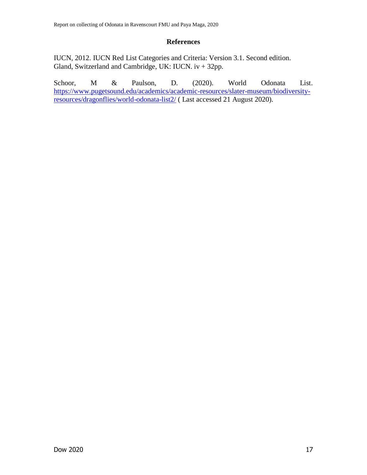# **References**

IUCN, 2012. IUCN Red List Categories and Criteria: Version 3.1. Second edition. Gland, Switzerland and Cambridge, UK: IUCN. iv + 32pp.

Schoor, M & Paulson, D. (2020). World Odonata List. [https://www.pugetsound.edu/academics/academic-resources/slater-museum/biodiversity](https://www.pugetsound.edu/academics/academic-resources/slater-museum/biodiversity-resources/dragonflies/world-odonata-list2/)[resources/dragonflies/world-odonata-list2/](https://www.pugetsound.edu/academics/academic-resources/slater-museum/biodiversity-resources/dragonflies/world-odonata-list2/) ( Last accessed 21 August 2020).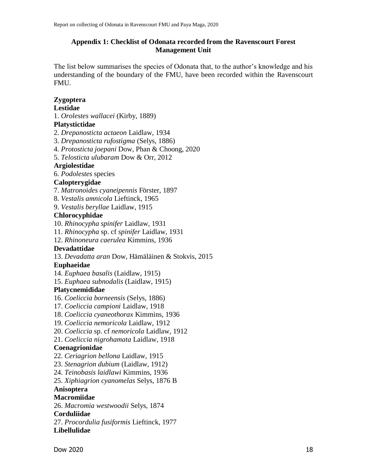# **Appendix 1: Checklist of Odonata recorded from the Ravenscourt Forest Management Unit**

The list below summarises the species of Odonata that, to the author's knowledge and his understanding of the boundary of the FMU, have been recorded within the Ravenscourt FMU.

# **Zygoptera**

# **Lestidae**

1. *Orolestes wallacei* (Kirby, 1889)

# **Platystictidae**

- 2. *Drepanosticta actaeon* Laidlaw, 1934
- 3. *Drepanosticta rufostigma* (Selys, 1886)
- 4. *Protosticta joepani* Dow, Phan & Choong, 2020
- 5. *Telosticta ulubaram* Dow & Orr, 2012

# **Argiolestidae**

6. *Podolestes* species

# **Calopterygidae**

- 7. *Matronoides cyaneipennis* Förster, 1897
- 8. *Vestalis amnicola* Lieftinck, 1965
- 9. *Vestalis beryllae* Laidlaw, 1915

# **Chlorocyphidae**

- 10. *Rhinocypha spinifer* Laidlaw, 1931
- 11. *Rhinocypha* sp. cf *spinifer* Laidlaw, 1931
- 12. *Rhinoneura caerulea* Kimmins, 1936

# **Devadattidae**

13. *Devadatta aran* Dow, Hämäläinen & Stokvis, 2015

# **Euphaeidae**

- 14. *Euphaea basalis* (Laidlaw, 1915)
- 15. *Euphaea subnodalis* (Laidlaw, 1915)

# **Platycnemididae**

- 16. *Coeliccia borneensis* (Selys, 1886)
- 17. *Coeliccia campioni* Laidlaw, 1918
- 18. *Coeliccia cyaneothorax* Kimmins, 1936
- 19. *Coeliccia nemoricola* Laidlaw, 1912
- 20. *Coeliccia* sp. cf *nemoricola* Laidlaw, 1912
- 21. *Coeliccia nigrohamata* Laidlaw, 1918

# **Coenagrionidae**

- 22. *Ceriagrion bellona* Laidlaw, 1915
- 23. *Stenagrion dubium* (Laidlaw, 1912)
- 24. *Teinobasis laidlawi* Kimmins, 1936
- 25. *Xiphiagrion cyanomelas* Selys, 1876 B

# **Anisoptera**

# **Macromiidae**

26. *Macromia westwoodii* Selys, 1874

# **Corduliidae**

27. *Procordulia fusiformis* Lieftinck, 1977 **Libellulidae**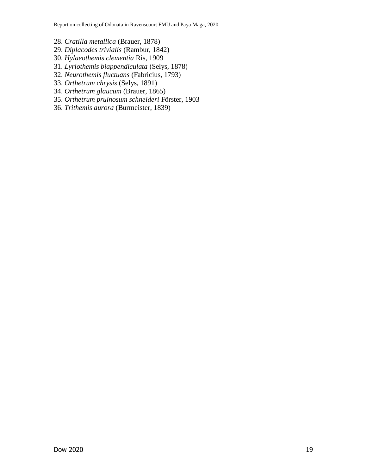Report on collecting of Odonata in Ravenscourt FMU and Paya Maga, 2020

- 28. *Cratilla metallica* (Brauer, 1878)
- 29. *Diplacodes trivialis* (Rambur, 1842)
- 30. *Hylaeothemis clementia* Ris, 1909
- 31. *Lyriothemis biappendiculata* (Selys, 1878)
- 32. *Neurothemis fluctuans* (Fabricius, 1793)
- 33. *Orthetrum chrysis* (Selys, 1891)
- 34. *Orthetrum glaucum* (Brauer, 1865)
- 35. *Orthetrum pruinosum schneideri* Förster, 1903
- 36. *Trithemis aurora* (Burmeister, 1839)